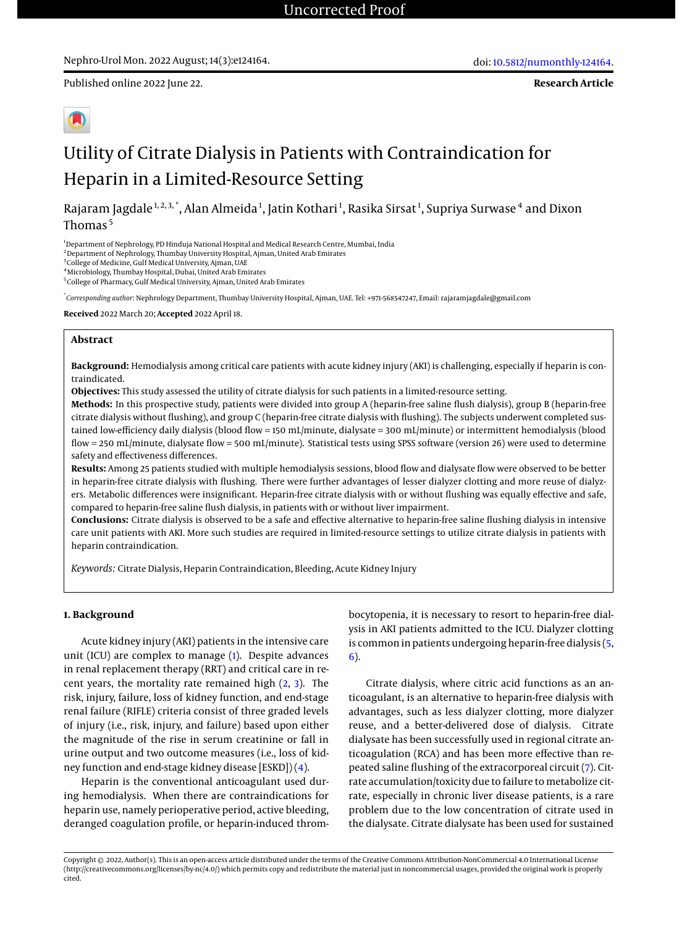Published online 2022 June 22.

**Research Article**

# Utility of Citrate Dialysis in Patients with Contraindication for Heparin in a Limited-Resource Setting

Rajaram Jagdale $^{\rm 1,2,3,^*}$ , Alan Almeida $^{\rm 1}$ , Jatin Kothari $^{\rm 1}$ , Rasika Sirsat $^{\rm 1}$ , Supriya Surwase $^{\rm 4}$  and Dixon Thomas<sup>5</sup>

<sup>1</sup>Department of Nephrology, PD Hinduja National Hospital and Medical Research Centre, Mumbai, India

<sup>2</sup> Department of Nephrology, Thumbay University Hospital, Ajman, United Arab Emirates

<sup>3</sup> College of Medicine, Gulf Medical University, Ajman, UAE

<sup>4</sup>Microbiology, Thumbay Hospital, Dubai, United Arab Emirates

5 College of Pharmacy, Gulf Medical University, Ajman, United Arab Emirates

\* *Corresponding author*: Nephrology Department, Thumbay University Hospital, Ajman, UAE. Tel: +971-568547247, Email: rajaramjagdale@gmail.com

**Received** 2022 March 20; **Accepted** 2022 April 18.

#### **Abstract**

**Background:** Hemodialysis among critical care patients with acute kidney injury (AKI) is challenging, especially if heparin is contraindicated.

**Objectives:** This study assessed the utility of citrate dialysis for such patients in a limited-resource setting.

**Methods:** In this prospective study, patients were divided into group A (heparin-free saline flush dialysis), group B (heparin-free citrate dialysis without flushing), and group C (heparin-free citrate dialysis with flushing). The subjects underwent completed sustained low-efficiency daily dialysis (blood flow = 150 mL/minute, dialysate = 300 mL/minute) or intermittent hemodialysis (blood flow = 250 mL/minute, dialysate flow = 500 mL/minute). Statistical tests using SPSS software (version 26) were used to determine safety and effectiveness differences.

**Results:** Among 25 patients studied with multiple hemodialysis sessions, blood flow and dialysate flow were observed to be better in heparin-free citrate dialysis with flushing. There were further advantages of lesser dialyzer clotting and more reuse of dialyzers. Metabolic differences were insignificant. Heparin-free citrate dialysis with or without flushing was equally effective and safe, compared to heparin-free saline flush dialysis, in patients with or without liver impairment.

**Conclusions:** Citrate dialysis is observed to be a safe and effective alternative to heparin-free saline flushing dialysis in intensive care unit patients with AKI. More such studies are required in limited-resource settings to utilize citrate dialysis in patients with heparin contraindication.

*Keywords:* Citrate Dialysis, Heparin Contraindication, Bleeding, Acute Kidney Injury

## **1. Background**

Acute kidney injury (AKI) patients in the intensive care unit (ICU) are complex to manage [\(1\)](#page-4-0). Despite advances in renal replacement therapy (RRT) and critical care in recent years, the mortality rate remained high [\(2,](#page-4-1) [3\)](#page-4-2). The risk, injury, failure, loss of kidney function, and end-stage renal failure (RIFLE) criteria consist of three graded levels of injury (i.e., risk, injury, and failure) based upon either the magnitude of the rise in serum creatinine or fall in urine output and two outcome measures (i.e., loss of kidney function and end-stage kidney disease [ESKD]) [\(4\)](#page-4-3).

Heparin is the conventional anticoagulant used during hemodialysis. When there are contraindications for heparin use, namely perioperative period, active bleeding, deranged coagulation profile, or heparin-induced throm-

bocytopenia, it is necessary to resort to heparin-free dialysis in AKI patients admitted to the ICU. Dialyzer clotting is common in patients undergoing heparin-free dialysis [\(5,](#page-4-4) [6\)](#page-4-5).

Citrate dialysis, where citric acid functions as an anticoagulant, is an alternative to heparin-free dialysis with advantages, such as less dialyzer clotting, more dialyzer reuse, and a better-delivered dose of dialysis. Citrate dialysate has been successfully used in regional citrate anticoagulation (RCA) and has been more effective than repeated saline flushing of the extracorporeal circuit [\(7\)](#page-4-6). Citrate accumulation/toxicity due to failure to metabolize citrate, especially in chronic liver disease patients, is a rare problem due to the low concentration of citrate used in the dialysate. Citrate dialysate has been used for sustained

Copyright © 2022, Author(s). This is an open-access article distributed under the terms of the Creative Commons Attribution-NonCommercial 4.0 International License (http://creativecommons.org/licenses/by-nc/4.0/) which permits copy and redistribute the material just in noncommercial usages, provided the original work is properly cited.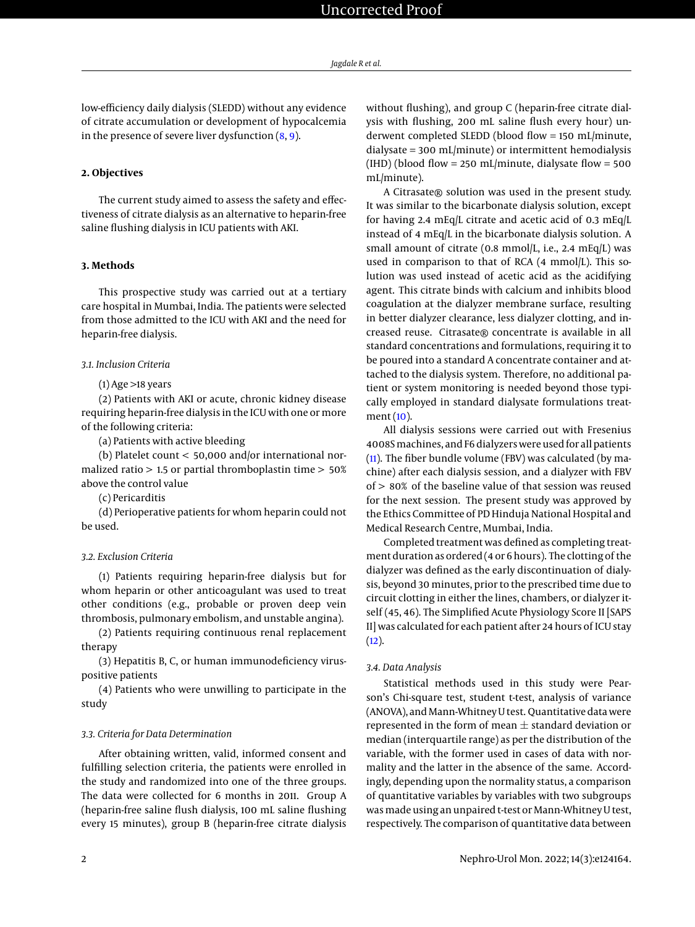low-efficiency daily dialysis (SLEDD) without any evidence of citrate accumulation or development of hypocalcemia in the presence of severe liver dysfunction [\(8,](#page-5-0) [9\)](#page-5-1).

# **2. Objectives**

The current study aimed to assess the safety and effectiveness of citrate dialysis as an alternative to heparin-free saline flushing dialysis in ICU patients with AKI.

#### **3. Methods**

This prospective study was carried out at a tertiary care hospital in Mumbai, India. The patients were selected from those admitted to the ICU with AKI and the need for heparin-free dialysis.

## *3.1. Inclusion Criteria*

#### $(1)$  Age  $>18$  years

(2) Patients with AKI or acute, chronic kidney disease requiring heparin-free dialysis in the ICU with one or more of the following criteria:

(a) Patients with active bleeding

(b) Platelet count < 50,000 and/or international normalized ratio > 1.5 or partial thromboplastin time > 50% above the control value

(c) Pericarditis

(d) Perioperative patients for whom heparin could not be used.

#### *3.2. Exclusion Criteria*

(1) Patients requiring heparin-free dialysis but for whom heparin or other anticoagulant was used to treat other conditions (e.g., probable or proven deep vein thrombosis, pulmonary embolism, and unstable angina).

(2) Patients requiring continuous renal replacement therapy

(3) Hepatitis B, C, or human immunodeficiency viruspositive patients

(4) Patients who were unwilling to participate in the study

#### *3.3. Criteria for Data Determination*

After obtaining written, valid, informed consent and fulfilling selection criteria, the patients were enrolled in the study and randomized into one of the three groups. The data were collected for 6 months in 2011. Group A (heparin-free saline flush dialysis, 100 mL saline flushing every 15 minutes), group B (heparin-free citrate dialysis

without flushing), and group C (heparin-free citrate dialysis with flushing, 200 mL saline flush every hour) underwent completed SLEDD (blood flow = 150 mL/minute, dialysate = 300 mL/minute) or intermittent hemodialysis (IHD) (blood flow = 250 mL/minute, dialysate flow = 500 mL/minute).

A Citrasate® solution was used in the present study. It was similar to the bicarbonate dialysis solution, except for having 2.4 mEq/L citrate and acetic acid of 0.3 mEq/L instead of 4 mEq/L in the bicarbonate dialysis solution. A small amount of citrate (0.8 mmol/L, i.e., 2.4 mEq/L) was used in comparison to that of RCA (4 mmol/L). This solution was used instead of acetic acid as the acidifying agent. This citrate binds with calcium and inhibits blood coagulation at the dialyzer membrane surface, resulting in better dialyzer clearance, less dialyzer clotting, and increased reuse. Citrasate® concentrate is available in all standard concentrations and formulations, requiring it to be poured into a standard A concentrate container and attached to the dialysis system. Therefore, no additional patient or system monitoring is needed beyond those typically employed in standard dialysate formulations treatment [\(10\)](#page-5-2).

All dialysis sessions were carried out with Fresenius 4008Smachines, and F6 dialyzers were used for all patients [\(11\)](#page-5-3). The fiber bundle volume (FBV) was calculated (by machine) after each dialysis session, and a dialyzer with FBV of > 80% of the baseline value of that session was reused for the next session. The present study was approved by the Ethics Committee of PD Hinduja National Hospital and Medical Research Centre, Mumbai, India.

Completed treatment was defined as completing treatment duration as ordered (4 or 6 hours). The clotting of the dialyzer was defined as the early discontinuation of dialysis, beyond 30 minutes, prior to the prescribed time due to circuit clotting in either the lines, chambers, or dialyzer itself (45, 46). The Simplified Acute Physiology Score II [SAPS II] was calculated for each patient after 24 hours of ICU stay  $(12).$  $(12).$ 

#### *3.4. Data Analysis*

Statistical methods used in this study were Pearson's Chi-square test, student t-test, analysis of variance (ANOVA), and Mann-Whitney U test. Quantitative data were represented in the form of mean  $\pm$  standard deviation or median (interquartile range) as per the distribution of the variable, with the former used in cases of data with normality and the latter in the absence of the same. Accordingly, depending upon the normality status, a comparison of quantitative variables by variables with two subgroups wasmade using an unpaired t-test or Mann-Whitney U test, respectively. The comparison of quantitative data between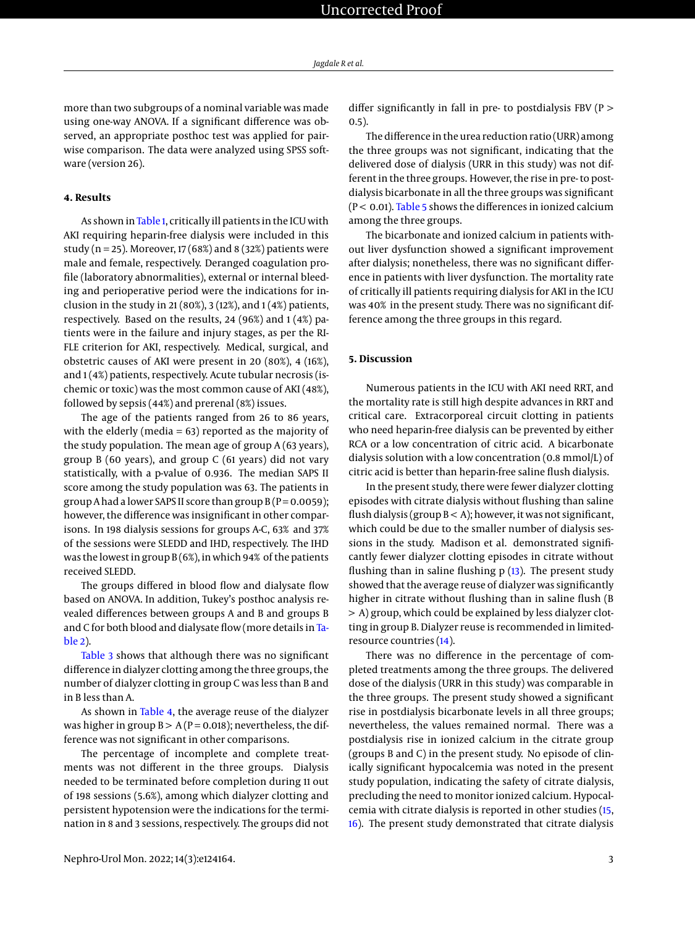more than two subgroups of a nominal variable was made using one-way ANOVA. If a significant difference was observed, an appropriate posthoc test was applied for pairwise comparison. The data were analyzed using SPSS software (version 26).

# **4. Results**

As shown in [Table 1,](#page-3-0) critically ill patients in the ICU with AKI requiring heparin-free dialysis were included in this study ( $n = 25$ ). Moreover, 17 (68%) and 8 (32%) patients were male and female, respectively. Deranged coagulation profile (laboratory abnormalities), external or internal bleeding and perioperative period were the indications for inclusion in the study in 21 (80%), 3 (12%), and  $1(4%)$  patients, respectively. Based on the results, 24 (96%) and 1 (4%) patients were in the failure and injury stages, as per the RI-FLE criterion for AKI, respectively. Medical, surgical, and obstetric causes of AKI were present in 20 (80%), 4 (16%), and 1(4%) patients, respectively. Acute tubular necrosis (ischemic or toxic) was the most common cause of AKI (48%), followed by sepsis (44%) and prerenal (8%) issues.

The age of the patients ranged from 26 to 86 years, with the elderly (media = 63) reported as the majority of the study population. The mean age of group A (63 years), group B (60 years), and group C (61 years) did not vary statistically, with a p-value of 0.936. The median SAPS II score among the study population was 63. The patients in group A had a lower SAPS II score than group  $B(P = 0.0059)$ ; however, the difference was insignificant in other comparisons. In 198 dialysis sessions for groups A-C, 63% and 37% of the sessions were SLEDD and IHD, respectively. The IHD was the lowest in group B (6%), in which 94% of the patients received SLEDD.

The groups differed in blood flow and dialysate flow based on ANOVA. In addition, Tukey's posthoc analysis revealed differences between groups A and B and groups B and C for both blood and dialysate flow (more details in [Ta](#page-3-1)[ble 2\)](#page-3-1).

[Table 3](#page-3-2) shows that although there was no significant difference in dialyzer clotting among the three groups, the number of dialyzer clotting in group C was less than B and in B less than A.

As shown in [Table 4,](#page-3-3) the average reuse of the dialyzer was higher in group  $B > A(P = 0.018)$ ; nevertheless, the difference was not significant in other comparisons.

The percentage of incomplete and complete treatments was not different in the three groups. Dialysis needed to be terminated before completion during 11 out of 198 sessions (5.6%), among which dialyzer clotting and persistent hypotension were the indications for the termination in 8 and 3 sessions, respectively. The groups did not

differ significantly in fall in pre- to postdialysis FBV (P > 0.5).

The difference in the urea reduction ratio (URR) among the three groups was not significant, indicating that the delivered dose of dialysis (URR in this study) was not different in the three groups. However, the rise in pre- to postdialysis bicarbonate in all the three groups was significant ( $P < 0.01$ ). [Table 5](#page-4-7) shows the differences in ionized calcium among the three groups.

The bicarbonate and ionized calcium in patients without liver dysfunction showed a significant improvement after dialysis; nonetheless, there was no significant difference in patients with liver dysfunction. The mortality rate of critically ill patients requiring dialysis for AKI in the ICU was 40% in the present study. There was no significant difference among the three groups in this regard.

# **5. Discussion**

Numerous patients in the ICU with AKI need RRT, and the mortality rate is still high despite advances in RRT and critical care. Extracorporeal circuit clotting in patients who need heparin-free dialysis can be prevented by either RCA or a low concentration of citric acid. A bicarbonate dialysis solution with a low concentration (0.8 mmol/L) of citric acid is better than heparin-free saline flush dialysis.

In the present study, there were fewer dialyzer clotting episodes with citrate dialysis without flushing than saline flush dialysis (group  $B < A$ ); however, it was not significant, which could be due to the smaller number of dialysis sessions in the study. Madison et al. demonstrated significantly fewer dialyzer clotting episodes in citrate without flushing than in saline flushing  $p(13)$  $p(13)$ . The present study showed that the average reuse of dialyzer was significantly higher in citrate without flushing than in saline flush (B > A) group, which could be explained by less dialyzer clotting in group B. Dialyzer reuse is recommended in limitedresource countries [\(14\)](#page-5-6).

There was no difference in the percentage of completed treatments among the three groups. The delivered dose of the dialysis (URR in this study) was comparable in the three groups. The present study showed a significant rise in postdialysis bicarbonate levels in all three groups; nevertheless, the values remained normal. There was a postdialysis rise in ionized calcium in the citrate group (groups B and C) in the present study. No episode of clinically significant hypocalcemia was noted in the present study population, indicating the safety of citrate dialysis, precluding the need to monitor ionized calcium. Hypocalcemia with citrate dialysis is reported in other studies [\(15,](#page-5-7) [16\)](#page-5-8). The present study demonstrated that citrate dialysis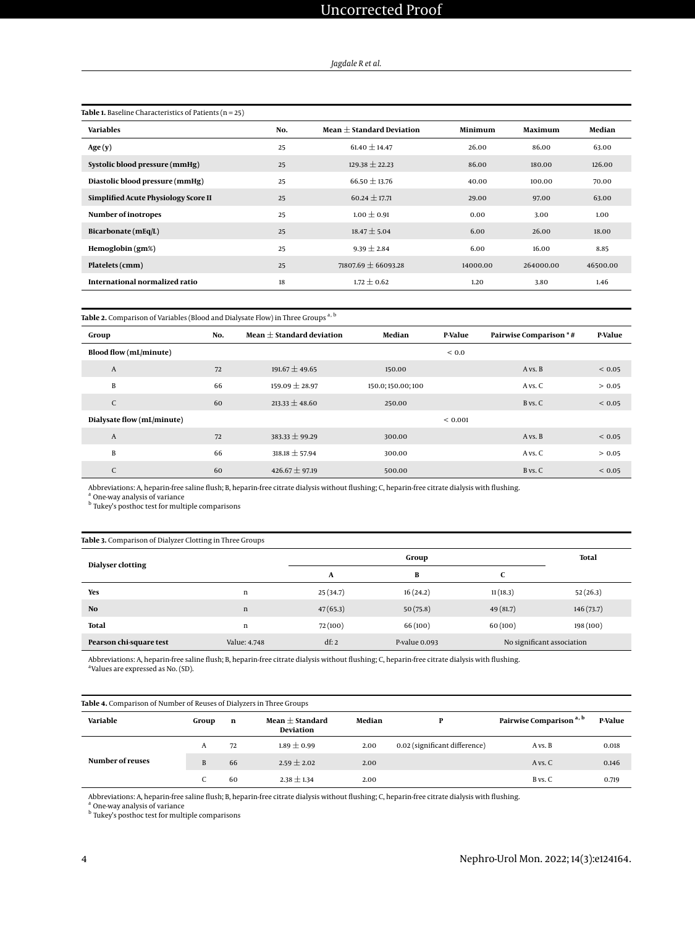# *Jagdale R et al.*

<span id="page-3-0"></span>

| <b>Table 1.</b> Baseline Characteristics of Patients ( $n = 25$ ) |     |                               |          |           |          |
|-------------------------------------------------------------------|-----|-------------------------------|----------|-----------|----------|
| <b>Variables</b>                                                  | No. | Mean $\pm$ Standard Deviation | Minimum  | Maximum   | Median   |
| Age(y)                                                            | 25  | $61.40 \pm 14.47$             | 26.00    | 86.00     | 63.00    |
| Systolic blood pressure (mmHg)                                    | 25  | $129.38 \pm 22.23$            | 86.00    | 180.00    | 126.00   |
| Diastolic blood pressure (mmHg)                                   | 25  | $66.50 \pm 13.76$             | 40.00    | 100.00    | 70.00    |
| Simplified Acute Physiology Score II                              | 25  | $60.24 \pm 17.71$             | 29.00    | 97.00     | 63.00    |
| Number of inotropes                                               | 25  | $1.00 \pm 0.91$               | 0.00     | 3.00      | 1.00     |
| Bicarbonate $(mEq/L)$                                             | 25  | $18.47 \pm 5.04$              | 6.00     | 26.00     | 18.00    |
| Hemoglobin (gm%)                                                  | 25  | $9.39 \pm 2.84$               | 6.00     | 16.00     | 8.85     |
| Platelets (cmm)                                                   | 25  | $71807.69 \pm 66093.28$       | 14000.00 | 264000.00 | 46500.00 |
| International normalized ratio                                    | 18  | $1.72 \pm 0.62$               | 1.20     | 3.80      | 1.46     |

# <span id="page-3-1"></span> ${\bf Table}$  2. Comparison of Variables (Blood and Dialysate Flow) in Three Groups  $^{\rm a,\,b}$

| Group                      | No. | Mean $\pm$ Standard deviation | Median           | <b>P-Value</b> | <b>Pairwise Comparison *#</b> | <b>P-Value</b> |
|----------------------------|-----|-------------------------------|------------------|----------------|-------------------------------|----------------|
| Blood flow (mL/minute)     |     |                               |                  | ${}_{0.0}$     |                               |                |
| $\overline{A}$             | 72  | $191.67 \pm 49.65$            | 150.00           |                | A vs. B                       | ${}< 0.05$     |
| B                          | 66  | $159.09 \pm 28.97$            | 150.0;150.00;100 |                | A vs. C                       | > 0.05         |
| C                          | 60  | $213.33 \pm 48.60$            | 250.00           |                | B vs. C                       | ${}_{0.05}$    |
| Dialysate flow (mL/minute) |     |                               |                  | ${}_{0.001}$   |                               |                |
| $\overline{A}$             | 72  | $383.33 \pm 99.29$            | 300.00           |                | A vs. B                       | ${}< 0.05$     |
| B                          | 66  | $318.18 \pm 57.94$            | 300.00           |                | A vs. C                       | > 0.05         |
| C                          | 60  | $426.67 \pm 97.19$            | 500.00           |                | B vs. C                       | ${}_{0.05}$    |

Abbreviations: A, heparin-free saline flush; B, heparin-free citrate dialysis without flushing; C, heparin-free citrate dialysis with flushing<br><sup>a</sup> One-way analysis of variance

<sup>b</sup> Tukey's posthoc test for multiple comparisons

<span id="page-3-2"></span>

|  |  | Table 3. Comparison of Dialyzer Clotting in Three Groups |
|--|--|----------------------------------------------------------|
|  |  |                                                          |

| Dialyser clotting       |              |          | Total         |          |                            |
|-------------------------|--------------|----------|---------------|----------|----------------------------|
|                         |              | A        | В             | C        |                            |
| Yes                     | n            | 25(34.7) | 16(24.2)      | 11(18.3) | 52(26.3)                   |
| N <sub>0</sub>          | $\mathbf n$  | 47(65.3) | 50(75.8)      | 49(81.7) | 146(73.7)                  |
| <b>Total</b>            | n            | 72(100)  | 66 (100)      | 60(100)  | 198 (100)                  |
| Pearson chi-square test | Value: 4.748 | df: 2    | P-value 0.093 |          | No significant association |

Abbreviations: A, heparin-free saline flush; B, heparin-free citrate dialysis without flushing; C, heparin-free citrate dialysis with flushing. a Values are expressed as No. (SD).

|                  | Table 4. Comparison of Number of Reuses of Dialyzers in Three Groups |    |                                  |        |                               |                                     |         |
|------------------|----------------------------------------------------------------------|----|----------------------------------|--------|-------------------------------|-------------------------------------|---------|
| Variable         | Group                                                                | n  | Mean $\pm$ Standard<br>Deviation | Median | P                             | Pairwise Comparison <sup>a, b</sup> | P-Value |
|                  | A                                                                    | 72 | $1.89 \pm 0.99$                  | 2.00   | 0.02 (significant difference) | A vs. B                             | 0.018   |
| Number of reuses | B                                                                    | 66 | $2.59 \pm 2.02$                  | 2.00   |                               | A vs. C                             | 0.146   |
|                  |                                                                      | 60 | $2.38 \pm 1.34$                  | 2.00   |                               | B vs. C                             | 0.719   |

Abbreviations: A, heparin-free saline flush; B, heparin-free citrate dialysis without flushing; C, heparin-free citrate dialysis with flushing<br><sup>a</sup> One-way analysis of variance

<sup>b</sup> Tukey's posthoc test for multiple comparisons

<span id="page-3-3"></span>l,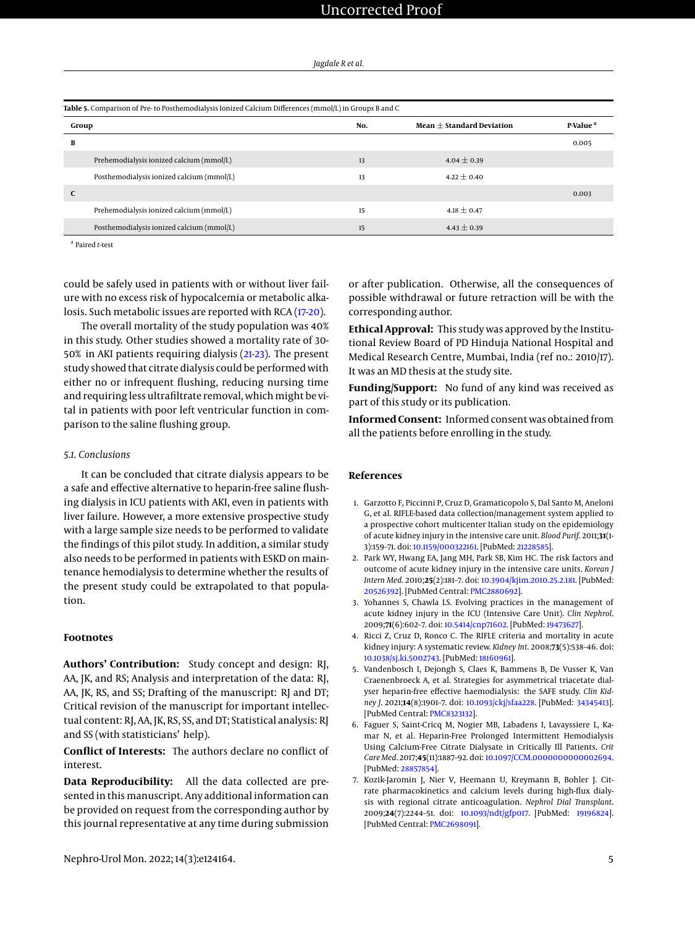| Jagdale R et al. |  |
|------------------|--|
|------------------|--|

<span id="page-4-7"></span>

| Group |                                           | No. | Mean $+$ Standard Deviation | P-Value <sup>a</sup> |  |
|-------|-------------------------------------------|-----|-----------------------------|----------------------|--|
| В     |                                           |     |                             | 0.005                |  |
|       | Prehemodialysis ionized calcium (mmol/L)  | 13  | $4.04 \pm 0.39$             |                      |  |
|       | Posthemodialysis ionized calcium (mmol/L) | 13  | $4.22 \pm 0.40$             |                      |  |
| C     |                                           |     |                             | 0.003                |  |
|       | Prehemodialysis ionized calcium (mmol/L)  | 15  | $4.18 \pm 0.47$             |                      |  |
|       | Posthemodialysis ionized calcium (mmol/L) | 15  | $4.43 \pm 0.39$             |                      |  |

a Paired *t*-test

could be safely used in patients with or without liver failure with no excess risk of hypocalcemia or metabolic alkalosis. Such metabolic issues are reported with RCA [\(17-](#page-5-9)[20\)](#page-5-10).

The overall mortality of the study population was 40% in this study. Other studies showed a mortality rate of 30- 50% in AKI patients requiring dialysis [\(21](#page-5-11)[-23\)](#page-5-12). The present study showed that citrate dialysis could be performed with either no or infrequent flushing, reducing nursing time and requiring less ultrafiltrate removal, which might be vital in patients with poor left ventricular function in comparison to the saline flushing group.

#### *5.1. Conclusions*

It can be concluded that citrate dialysis appears to be a safe and effective alternative to heparin-free saline flushing dialysis in ICU patients with AKI, even in patients with liver failure. However, a more extensive prospective study with a large sample size needs to be performed to validate the findings of this pilot study. In addition, a similar study also needs to be performed in patients with ESKD on maintenance hemodialysis to determine whether the results of the present study could be extrapolated to that population.

# **Footnotes**

**Authors' Contribution:** Study concept and design: RJ, AA, JK, and RS; Analysis and interpretation of the data: RJ, AA, JK, RS, and SS; Drafting of the manuscript: RJ and DT; Critical revision of the manuscript for important intellectual content: RJ, AA, JK, RS, SS, and DT; Statistical analysis: RJ and SS (with statisticians' help).

**Conflict of Interests:** The authors declare no conflict of interest.

**Data Reproducibility:** All the data collected are presented in this manuscript. Any additional information can be provided on request from the corresponding author by this journal representative at any time during submission

or after publication. Otherwise, all the consequences of possible withdrawal or future retraction will be with the corresponding author.

**Ethical Approval:** This study was approved by the Institutional Review Board of PD Hinduja National Hospital and Medical Research Centre, Mumbai, India (ref no.: 2010/17). It was an MD thesis at the study site.

**Funding/Support:** No fund of any kind was received as part of this study or its publication.

**Informed Consent:** Informed consent was obtained from all the patients before enrolling in the study.

### **References**

- <span id="page-4-0"></span>1. Garzotto F, Piccinni P, Cruz D, Gramaticopolo S, Dal Santo M, Aneloni G, et al. RIFLE-based data collection/management system applied to a prospective cohort multicenter Italian study on the epidemiology of acute kidney injury in the intensive care unit. *Blood Purif*. 2011;**31**(1- 3):159–71. doi: [10.1159/000322161.](http://dx.doi.org/10.1159/000322161) [PubMed: [21228585\]](http://www.ncbi.nlm.nih.gov/pubmed/21228585).
- <span id="page-4-1"></span>2. Park WY, Hwang EA, Jang MH, Park SB, Kim HC. The risk factors and outcome of acute kidney injury in the intensive care units. *Korean J Intern Med*. 2010;**25**(2):181–7. doi: [10.3904/kjim.2010.25.2.181.](http://dx.doi.org/10.3904/kjim.2010.25.2.181) [PubMed: [20526392\]](http://www.ncbi.nlm.nih.gov/pubmed/20526392). [PubMed Central: [PMC2880692\]](https://www.ncbi.nlm.nih.gov/pmc/articles/PMC2880692).
- <span id="page-4-2"></span>3. Yohannes S, Chawla LS. Evolving practices in the management of acute kidney injury in the ICU (Intensive Care Unit). *Clin Nephrol*. 2009;**71**(6):602–7. doi: [10.5414/cnp71602.](http://dx.doi.org/10.5414/cnp71602) [PubMed: [19473627\]](http://www.ncbi.nlm.nih.gov/pubmed/19473627).
- <span id="page-4-3"></span>4. Ricci Z, Cruz D, Ronco C. The RIFLE criteria and mortality in acute kidney injury: A systematic review. *Kidney Int*. 2008;**73**(5):538–46. doi: [10.1038/sj.ki.5002743.](http://dx.doi.org/10.1038/sj.ki.5002743) [PubMed: [18160961\]](http://www.ncbi.nlm.nih.gov/pubmed/18160961).
- <span id="page-4-4"></span>5. Vandenbosch I, Dejongh S, Claes K, Bammens B, De Vusser K, Van Craenenbroeck A, et al. Strategies for asymmetrical triacetate dialyser heparin-free effective haemodialysis: the SAFE study. *Clin Kidney J*. 2021;**14**(8):1901–7. doi: [10.1093/ckj/sfaa228.](http://dx.doi.org/10.1093/ckj/sfaa228) [PubMed: [34345413\]](http://www.ncbi.nlm.nih.gov/pubmed/34345413). [PubMed Central: [PMC8323132\]](https://www.ncbi.nlm.nih.gov/pmc/articles/PMC8323132).
- <span id="page-4-5"></span>6. Faguer S, Saint-Cricq M, Nogier MB, Labadens I, Lavayssiere L, Kamar N, et al. Heparin-Free Prolonged Intermittent Hemodialysis Using Calcium-Free Citrate Dialysate in Critically Ill Patients. *Crit Care Med*. 2017;**45**(11):1887–92. doi: [10.1097/CCM.0000000000002694.](http://dx.doi.org/10.1097/CCM.0000000000002694) [PubMed: [28857854\]](http://www.ncbi.nlm.nih.gov/pubmed/28857854).
- <span id="page-4-6"></span>7. Kozik-Jaromin J, Nier V, Heemann U, Kreymann B, Bohler J. Citrate pharmacokinetics and calcium levels during high-flux dialysis with regional citrate anticoagulation. *Nephrol Dial Transplant*. 2009;**24**(7):2244–51. doi: [10.1093/ndt/gfp017.](http://dx.doi.org/10.1093/ndt/gfp017) [PubMed: [19196824\]](http://www.ncbi.nlm.nih.gov/pubmed/19196824). [PubMed Central: [PMC2698091\]](https://www.ncbi.nlm.nih.gov/pmc/articles/PMC2698091).